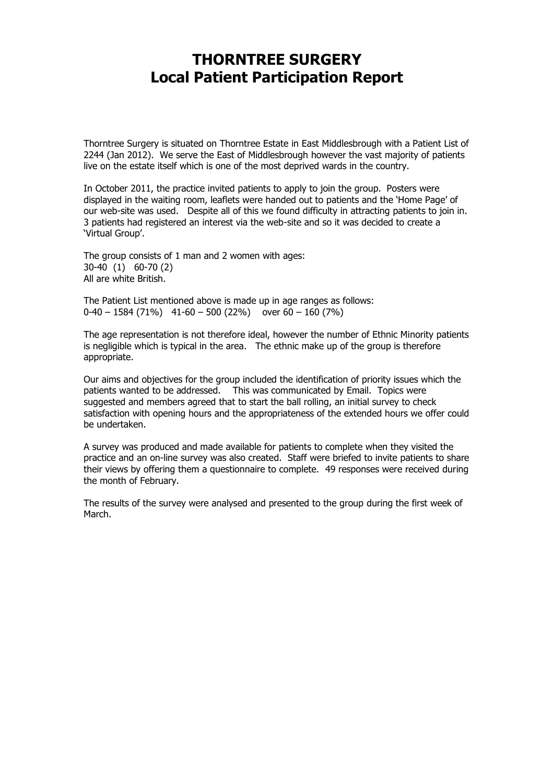## **THORNTREE SURGERY Local Patient Participation Report**

Thorntree Surgery is situated on Thorntree Estate in East Middlesbrough with a Patient List of 2244 (Jan 2012). We serve the East of Middlesbrough however the vast majority of patients live on the estate itself which is one of the most deprived wards in the country.

In October 2011, the practice invited patients to apply to join the group. Posters were displayed in the waiting room, leaflets were handed out to patients and the 'Home Page' of our web-site was used. Despite all of this we found difficulty in attracting patients to join in. 3 patients had registered an interest via the web-site and so it was decided to create a 'Virtual Group'.

The group consists of 1 man and 2 women with ages: 30-40 (1) 60-70 (2) All are white British.

The Patient List mentioned above is made up in age ranges as follows:  $0-40 - 1584 (71\%)$  41-60 – 500 (22%) over 60 – 160 (7%)

The age representation is not therefore ideal, however the number of Ethnic Minority patients is negligible which is typical in the area. The ethnic make up of the group is therefore appropriate.

Our aims and objectives for the group included the identification of priority issues which the patients wanted to be addressed. This was communicated by Email. Topics were suggested and members agreed that to start the ball rolling, an initial survey to check satisfaction with opening hours and the appropriateness of the extended hours we offer could be undertaken.

A survey was produced and made available for patients to complete when they visited the practice and an on-line survey was also created. Staff were briefed to invite patients to share their views by offering them a questionnaire to complete. 49 responses were received during the month of February.

The results of the survey were analysed and presented to the group during the first week of March.